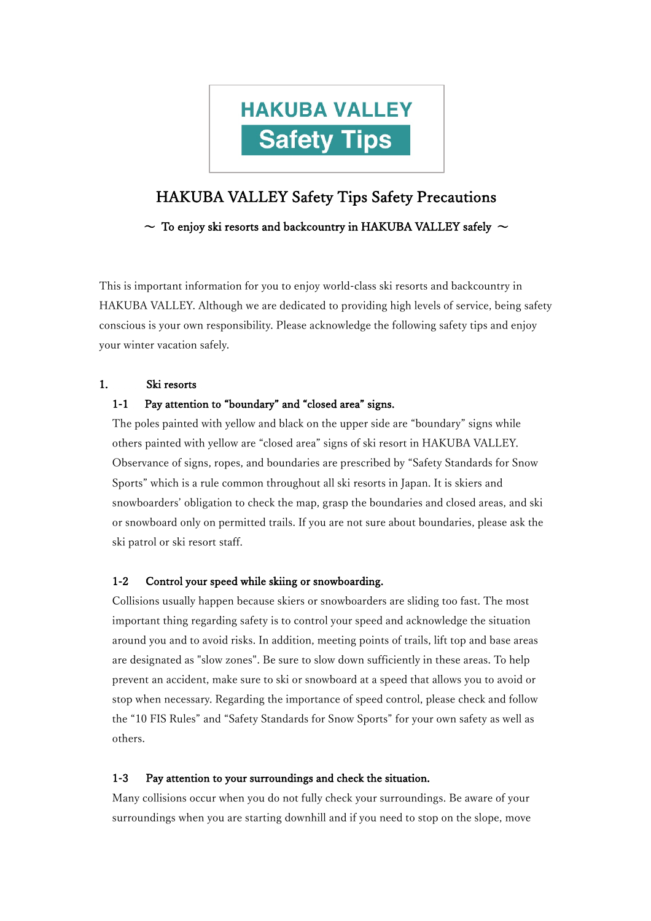

# HAKUBA VALLEY Safety Tips Safety Precautions

 $\sim$  To enjoy ski resorts and backcountry in HAKUBA VALLEY safely  $\sim$ 

This is important information for you to enjoy world-class ski resorts and backcountry in HAKUBA VALLEY. Although we are dedicated to providing high levels of service, being safety conscious is your own responsibility. Please acknowledge the following safety tips and enjoy your winter vacation safely.

# 1. Ski resorts

# 1-1 Pay attention to "boundary" and "closed area" signs.

The poles painted with yellow and black on the upper side are "boundary" signs while others painted with yellow are "closed area" signs of ski resort in HAKUBA VALLEY. Observance of signs, ropes, and boundaries are prescribed by "Safety Standards for Snow Sports" which is a rule common throughout all ski resorts in Japan. It is skiers and snowboarders' obligation to check the map, grasp the boundaries and closed areas, and ski or snowboard only on permitted trails. If you are not sure about boundaries, please ask the ski patrol or ski resort staff.

# 1-2 Control your speed while skiing or snowboarding.

Collisions usually happen because skiers or snowboarders are sliding too fast. The most important thing regarding safety is to control your speed and acknowledge the situation around you and to avoid risks. In addition, meeting points of trails, lift top and base areas are designated as "slow zones". Be sure to slow down sufficiently in these areas. To help prevent an accident, make sure to ski or snowboard at a speed that allows you to avoid or stop when necessary. Regarding the importance of speed control, please check and follow the "10 FIS Rules" and "Safety Standards for Snow Sports" for your own safety as well as others.

# 1-3 Pay attention to your surroundings and check the situation.

Many collisions occur when you do not fully check your surroundings. Be aware of your surroundings when you are starting downhill and if you need to stop on the slope, move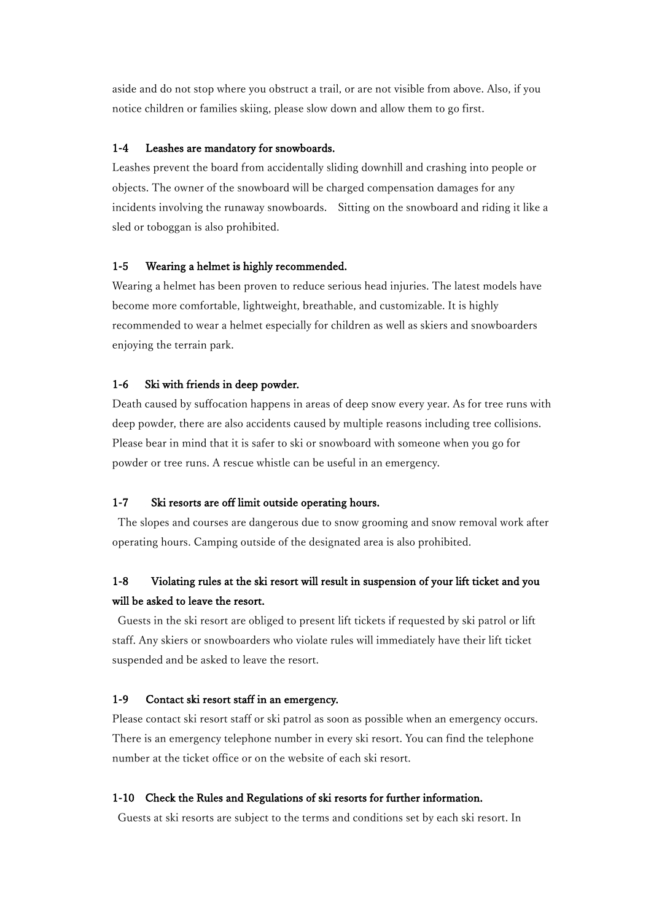aside and do not stop where you obstruct a trail, or are not visible from above. Also, if you notice children or families skiing, please slow down and allow them to go first.

#### 1-4 Leashes are mandatory for snowboards.

Leashes prevent the board from accidentally sliding downhill and crashing into people or objects. The owner of the snowboard will be charged compensation damages for any incidents involving the runaway snowboards. Sitting on the snowboard and riding it like a sled or toboggan is also prohibited.

#### 1-5 Wearing a helmet is highly recommended.

Wearing a helmet has been proven to reduce serious head injuries. The latest models have become more comfortable, lightweight, breathable, and customizable. It is highly recommended to wear a helmet especially for children as well as skiers and snowboarders enjoying the terrain park.

#### 1-6 Ski with friends in deep powder.

Death caused by suffocation happens in areas of deep snow every year. As for tree runs with deep powder, there are also accidents caused by multiple reasons including tree collisions. Please bear in mind that it is safer to ski or snowboard with someone when you go for powder or tree runs. A rescue whistle can be useful in an emergency.

# 1-7 Ski resorts are off limit outside operating hours.

The slopes and courses are dangerous due to snow grooming and snow removal work after operating hours. Camping outside of the designated area is also prohibited.

# 1-8 Violating rules at the ski resort will result in suspension of your lift ticket and you will be asked to leave the resort.

Guests in the ski resort are obliged to present lift tickets if requested by ski patrol or lift staff. Any skiers or snowboarders who violate rules will immediately have their lift ticket suspended and be asked to leave the resort.

# 1-9 Contact ski resort staff in an emergency.

Please contact ski resort staff or ski patrol as soon as possible when an emergency occurs. There is an emergency telephone number in every ski resort. You can find the telephone number at the ticket office or on the website of each ski resort.

# 1-10 Check the Rules and Regulations of ski resorts for further information.

Guests at ski resorts are subject to the terms and conditions set by each ski resort. In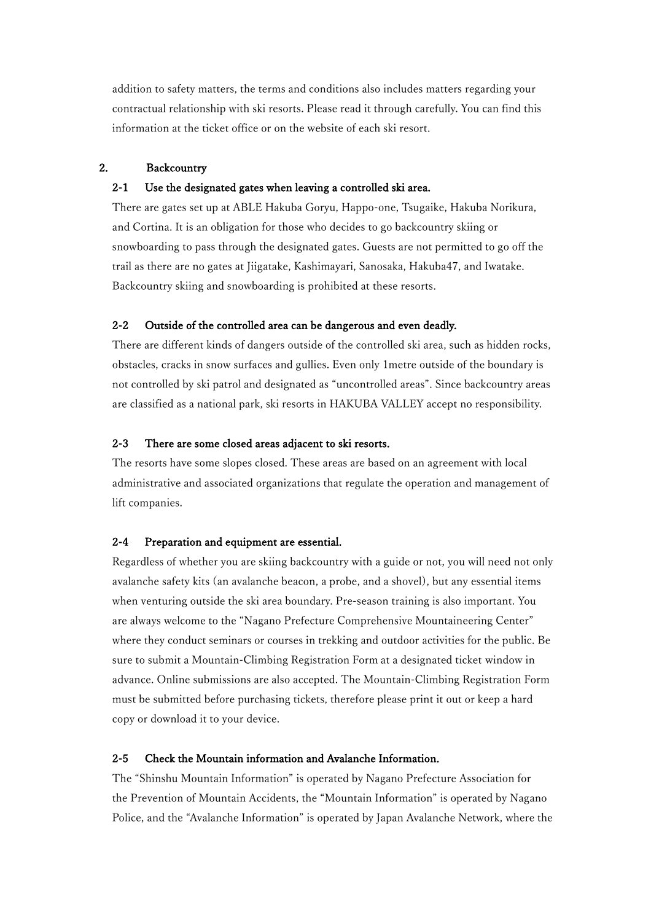addition to safety matters, the terms and conditions also includes matters regarding your contractual relationship with ski resorts. Please read it through carefully. You can find this information at the ticket office or on the website of each ski resort.

#### 2. Backcountry

#### 2-1 Use the designated gates when leaving a controlled ski area.

There are gates set up at ABLE Hakuba Goryu, Happo-one, Tsugaike, Hakuba Norikura, and Cortina. It is an obligation for those who decides to go backcountry skiing or snowboarding to pass through the designated gates. Guests are not permitted to go off the trail as there are no gates at Jiigatake, Kashimayari, Sanosaka, Hakuba47, and Iwatake. Backcountry skiing and snowboarding is prohibited at these resorts.

# 2-2 Outside of the controlled area can be dangerous and even deadly.

There are different kinds of dangers outside of the controlled ski area, such as hidden rocks, obstacles, cracks in snow surfaces and gullies. Even only 1metre outside of the boundary is not controlled by ski patrol and designated as "uncontrolled areas". Since backcountry areas are classified as a national park, ski resorts in HAKUBA VALLEY accept no responsibility.

#### 2-3 There are some closed areas adjacent to ski resorts.

The resorts have some slopes closed. These areas are based on an agreement with local administrative and associated organizations that regulate the operation and management of lift companies.

#### 2-4 Preparation and equipment are essential.

Regardless of whether you are skiing backcountry with a guide or not, you will need not only avalanche safety kits (an avalanche beacon, a probe, and a shovel), but any essential items when venturing outside the ski area boundary. Pre-season training is also important. You are always welcome to the "Nagano Prefecture Comprehensive Mountaineering Center" where they conduct seminars or courses in trekking and outdoor activities for the public. Be sure to submit a Mountain-Climbing Registration Form at a designated ticket window in advance. Online submissions are also accepted. The Mountain-Climbing Registration Form must be submitted before purchasing tickets, therefore please print it out or keep a hard copy or download it to your device.

#### 2-5 Check the Mountain information and Avalanche Information.

The "Shinshu Mountain Information" is operated by Nagano Prefecture Association for the Prevention of Mountain Accidents, the "Mountain Information" is operated by Nagano Police, and the "Avalanche Information" is operated by Japan Avalanche Network, where the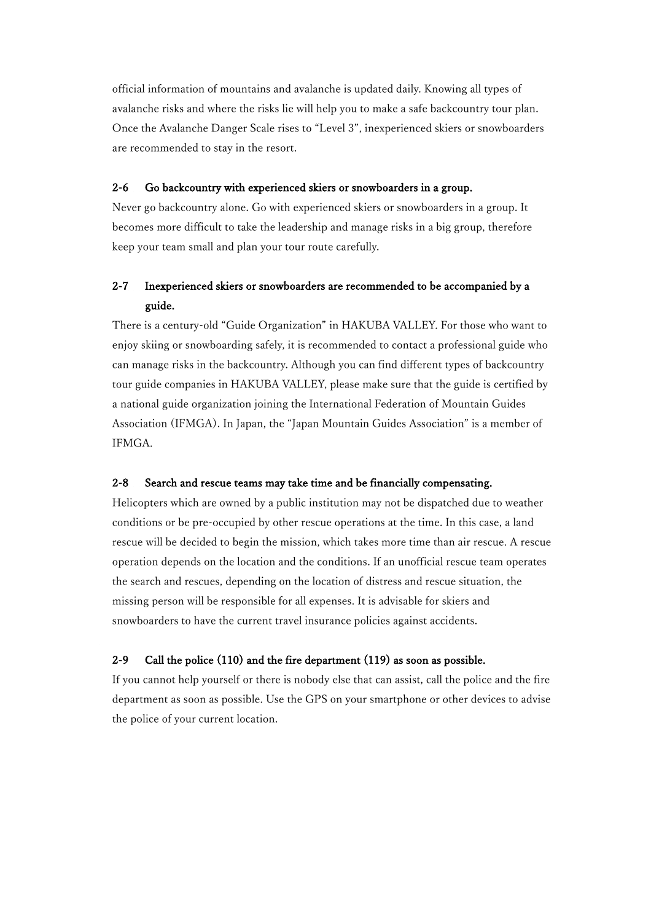official information of mountains and avalanche is updated daily. Knowing all types of avalanche risks and where the risks lie will help you to make a safe backcountry tour plan. Once the Avalanche Danger Scale rises to "Level 3", inexperienced skiers or snowboarders are recommended to stay in the resort.

#### 2-6 Go backcountry with experienced skiers or snowboarders in a group.

Never go backcountry alone. Go with experienced skiers or snowboarders in a group. It becomes more difficult to take the leadership and manage risks in a big group, therefore keep your team small and plan your tour route carefully.

# 2-7 Inexperienced skiers or snowboarders are recommended to be accompanied by a guide.

There is a century-old "Guide Organization" in HAKUBA VALLEY. For those who want to enjoy skiing or snowboarding safely, it is recommended to contact a professional guide who can manage risks in the backcountry. Although you can find different types of backcountry tour guide companies in HAKUBA VALLEY, please make sure that the guide is certified by a national guide organization joining the International Federation of Mountain Guides Association (IFMGA). In Japan, the "Japan Mountain Guides Association" is a member of IFMGA.

# 2-8 Search and rescue teams may take time and be financially compensating.

Helicopters which are owned by a public institution may not be dispatched due to weather conditions or be pre-occupied by other rescue operations at the time. In this case, a land rescue will be decided to begin the mission, which takes more time than air rescue. A rescue operation depends on the location and the conditions. If an unofficial rescue team operates the search and rescues, depending on the location of distress and rescue situation, the missing person will be responsible for all expenses. It is advisable for skiers and snowboarders to have the current travel insurance policies against accidents.

# 2-9 Call the police (110) and the fire department (119) as soon as possible.

If you cannot help yourself or there is nobody else that can assist, call the police and the fire department as soon as possible. Use the GPS on your smartphone or other devices to advise the police of your current location.